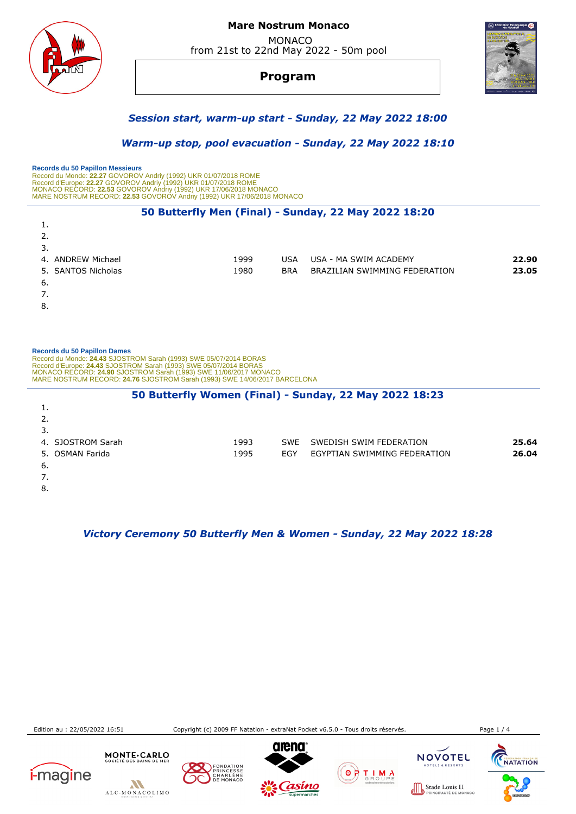

#### **Mare Nostrum Monaco**  MONACO from 21st to 22nd May 2022 - 50m pool

**Program**



## *Session start, warm-up start - Sunday, 22 May 2022 18:00*

 *Warm-up stop, pool evacuation - Sunday, 22 May 2022 18:10* 

 **Records du 50 Papillon Messieurs**  Record du Monde: 22.27 GOVOROV Andriy (1992) UKR 01/07/2018 ROME<br>Record d'Europe: 22.27 GOVOROV Andriy (1992) UKR 01/07/2018 ROME<br>MONACO RECORD: 22.53 GOVOROV Andriy (1992) UKR 17/06/2018 MONACO<br>MARE NOSTRUM RECORD: 22.53

#### **50 Butterfly Men (Final) - Sunday, 22 May 2022 18:20**

| 1.                 |      |            |                               |       |
|--------------------|------|------------|-------------------------------|-------|
| 2.                 |      |            |                               |       |
| 3.                 |      |            |                               |       |
| 4. ANDREW Michael  | 1999 | USA.       | USA - MA SWIM ACADEMY         | 22.90 |
| 5. SANTOS Nicholas | 1980 | <b>BRA</b> | BRAZILIAN SWIMMING FEDERATION | 23.05 |
| 6.                 |      |            |                               |       |
| 7.                 |      |            |                               |       |
| 8.                 |      |            |                               |       |

#### **Records du 50 Papillon Dames**

1.

 Record du Monde: **24.43** SJOSTROM Sarah (1993) SWE 05/07/2014 BORAS Record d'Europe: **24.43** SJOSTROM Sarah (1993) SWE 05/07/2014 BORAS<br>MONACO RECORD: **24.90 S**JOSTROM Sarah (1993) SWE 11/06/2017 MONACO<br>MARE NOSTRUM RECORD: **24.76** SJOSTROM Sarah (1993) SWE 14/06/2017 BARCELONA

#### **50 Butterfly Women (Final) - Sunday, 22 May 2022 18:23**

| 2.                |      |     |                              |       |
|-------------------|------|-----|------------------------------|-------|
| 3.                |      |     |                              |       |
| 4. SJOSTROM Sarah | 1993 |     | SWE SWEDISH SWIM FEDERATION  | 25.64 |
| 5. OSMAN Farida   | 1995 | EGY | EGYPTIAN SWIMMING FEDERATION | 26.04 |
| 6.                |      |     |                              |       |
| 7.                |      |     |                              |       |
| 8.                |      |     |                              |       |

#### *Victory Ceremony 50 Butterfly Men & Women - Sunday, 22 May 2022 18:28*

Edition au : 22/05/2022 16:51 Copyright (c) 2009 FF Natation - extraNat Pocket v6.5.0 - Tous droits réservés. Page 1 / 4

**CHARLES HANGAIST** 









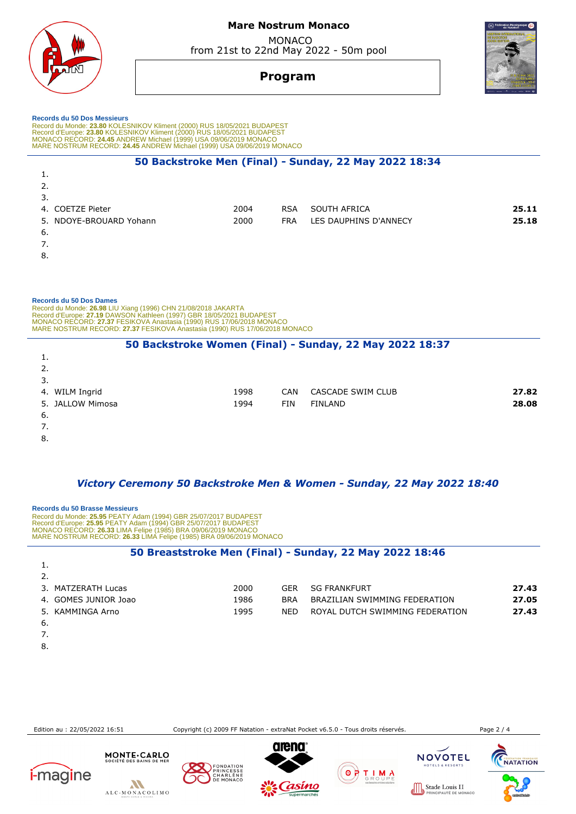**Mare Nostrum Monaco** 

 MONACO from 21st to 22nd May 2022 - 50m pool



# **Program**

#### **Records du 50 Dos Messieurs**

Record du Monde: 23.80 KOLESNIKOV Kliment (2000) RUS 18/05/2021 BUDAPEST<br>Record d'Europe: 23.80 KOLESNIKOV Kliment (2000) RUS 18/05/2021 BUDAPEST<br>MONACO RECORD: 24.45 ANDREW Michael (1999) USA 09/06/2019 MONACO MARE NOSTRUM RECORD: **24.45** ANDREW Michael (1999) USA 09/06/2019 MONACO

#### **50 Backstroke Men (Final) - Sunday, 22 May 2022 18:34**

| 1.                      |      |            |                       |       |
|-------------------------|------|------------|-----------------------|-------|
| 2.                      |      |            |                       |       |
| 3.                      |      |            |                       |       |
| 4. COETZE Pieter        | 2004 | <b>RSA</b> | SOUTH AFRICA          | 25.11 |
| 5. NDOYE-BROUARD Yohann | 2000 | <b>FRA</b> | LES DAUPHINS D'ANNECY | 25.18 |
| -6.                     |      |            |                       |       |
| 7.                      |      |            |                       |       |
| $\sim$                  |      |            |                       |       |

8.

#### **Records du 50 Dos Dames**

Record du Monde: **26.98** LIU Xiang (1996) CHN 21/08/2018 JAKARTA<br>Record d'Europe: **27.19 DAWSON Kathleen (1997) GBR 18/05/2021 BUDAPEST<br>MONACO RECORD: <b>27.37** FESIKOVA Anastasia (1990) RUS 17/06/2018 MONACO<br>MARE NOSTRUM RE

#### **50 Backstroke Women (Final) - Sunday, 22 May 2022 18:37**

| 1.               |      |            |                   |       |
|------------------|------|------------|-------------------|-------|
| 2.               |      |            |                   |       |
| 3.               |      |            |                   |       |
| 4. WILM Ingrid   | 1998 | <b>CAN</b> | CASCADE SWIM CLUB | 27.82 |
| 5. JALLOW Mimosa | 1994 | FIN        | <b>FINLAND</b>    | 28.08 |
| 6.               |      |            |                   |       |
| 7.               |      |            |                   |       |
| $\sim$           |      |            |                   |       |

8.

#### *Victory Ceremony 50 Backstroke Men & Women - Sunday, 22 May 2022 18:40*

 **Records du 50 Brasse Messieurs**  Record du Monde: **25.95** PEATY Adam (1994) GBR 25/07/2017 BUDAPEST Record d'Europe: **25.95** PEATY Adam (1994) GBR 25/07/2017 BUDAPEST MONACO RECORD: **26.33** LIMA Felipe (1985) BRA 09/06/2019 MONACO MARE NOSTRUM RECORD: **26.33** LIMA Felipe (1985) BRA 09/06/2019 MONACO

#### **50 Breaststroke Men (Final) - Sunday, 22 May 2022 18:46**

| 3. MATZERATH Lucas   | 2000 | GFR        | SG FRANKFURT                    | 27.43 |
|----------------------|------|------------|---------------------------------|-------|
| 4. GOMES JUNIOR Joao | 1986 | <b>BRA</b> | BRAZILIAN SWIMMING FEDERATION   | 27.05 |
| 5. KAMMINGA Arno     | 1995 | NFD.       | ROYAL DUTCH SWIMMING FEDERATION | 27.43 |
| -6.                  |      |            |                                 |       |

7.

1.

8.

Edition au : 22/05/2022 16:51 Copyright (c) 2009 FF Natation - extraNat Pocket v6.5.0 - Tous droits réservés. Page 2 / 4











 $0000$ 

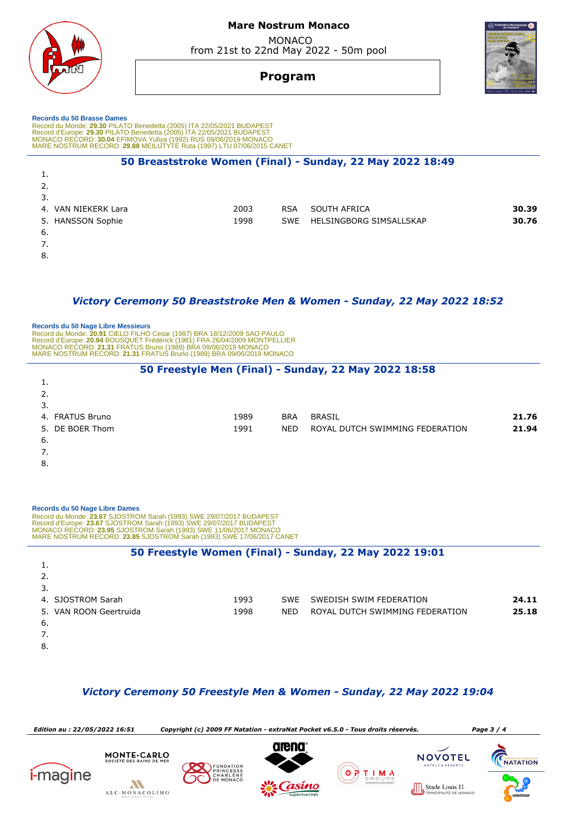

## **Mare Nostrum Monaco**  MONACO

from 21st to 22nd May 2022 - 50m pool

# **Program**

 **Records du 50 Brasse Dames**  Record du Monde: 29.30 PILATO Benedetta (2005) ITA 22/05/2021 BUDAPEST<br>Record d'Europe: 29.30 PILATO Benedetta (2005) ITA 22/05/2021 BUDAPEST<br>MONACO RECORD: 30.04 EFIMOVA Yuliya (1992) RUS 09/06/2019 MONACO<br>MARE NOSTRUM RE

## **50 Breaststroke Women (Final) - Sunday, 22 May 2022 18:49**  1. 2. 3. 4. VAN NIEKERK Lara 2003 RSA SOUTH AFRICA **30.39** 5. HANSSON Sophie 1998 SWE HELSINGBORG SIMSALLSKAP **30.76** 6. 7. 8.

#### *Victory Ceremony 50 Breaststroke Men & Women - Sunday, 22 May 2022 18:52*

 **Records du 50 Nage Libre Messieurs**  Record du Monde: **20.91** CIELO FILHO Cesar (1987) BRA 18/12/2009 SAO PAULO<br>Record d'Europe: 2**0.94 B**OUSQUET Frédérick (1981) FRA 26/04/2009 MONTPELLIER<br>MONACO RECORD: **21.31** FRATUS Bruno (1989) BRA 09/06/2019 MONACO MARE NOSTRUM RECORD: **21.31** FRATUS Bruno (1989) BRA 09/06/2019 MONACO

## **50 Freestyle Men (Final) - Sunday, 22 May 2022 18:58**

| . .             |      |            |                                 |       |
|-----------------|------|------------|---------------------------------|-------|
| 2.              |      |            |                                 |       |
| 3.              |      |            |                                 |       |
| 4. FRATUS Bruno | 1989 | <b>BRA</b> | <b>BRASIL</b>                   | 21.76 |
| 5. DE BOER Thom | 1991 | <b>NED</b> | ROYAL DUTCH SWIMMING FEDERATION | 21.94 |
| - 6.            |      |            |                                 |       |
| 7.              |      |            |                                 |       |

8.

|    | Records du 50 Nage Libre Dames<br>Record du Monde: 23.67 SJOSTROM Sarah (1993) SWE 29/07/2017 BUDAPEST<br>Record d'Europe: 23.67 SJOSTROM Sarah (1993) SWE 29/07/2017 BUDAPEST<br>MONACO RECORD: 23.95 SJOSTROM Sarah (1993) SWE 11/06/2017 MONACO<br>MARE NOSTRUM RECORD: 23.85 SJOSTROM Sarah (1993) SWE 17/06/2017 CANET |      |            |                                                        |       |
|----|-----------------------------------------------------------------------------------------------------------------------------------------------------------------------------------------------------------------------------------------------------------------------------------------------------------------------------|------|------------|--------------------------------------------------------|-------|
|    |                                                                                                                                                                                                                                                                                                                             |      |            | 50 Freestyle Women (Final) - Sunday, 22 May 2022 19:01 |       |
|    |                                                                                                                                                                                                                                                                                                                             |      |            |                                                        |       |
|    |                                                                                                                                                                                                                                                                                                                             |      |            |                                                        |       |
| 3. |                                                                                                                                                                                                                                                                                                                             |      |            |                                                        |       |
|    | 4. SJOSTROM Sarah                                                                                                                                                                                                                                                                                                           | 1993 | <b>SWE</b> | SWEDISH SWIM FEDERATION                                | 24.11 |
|    | VAN ROON Geertruida                                                                                                                                                                                                                                                                                                         | 1998 | <b>NED</b> | ROYAL DUTCH SWIMMING FEDERATION                        | 25.18 |
| 6. |                                                                                                                                                                                                                                                                                                                             |      |            |                                                        |       |
|    |                                                                                                                                                                                                                                                                                                                             |      |            |                                                        |       |
| 8. |                                                                                                                                                                                                                                                                                                                             |      |            |                                                        |       |

## *Victory Ceremony 50 Freestyle Men & Women - Sunday, 22 May 2022 19:04*

 *Edition au : 22/05/2022 16:51 Copyright (c) 2009 FF Natation - extraNat Pocket v6.5.0 - Tous droits réservés. Page 3 / 4* MONTE.CARLO **NOVOTEL CHARLES HANGAIST** FONDATION **i**-magine ΘF T I M A CHARLENE  $\boldsymbol{M}$ Stade Louis II ALC-MONACOLIMO